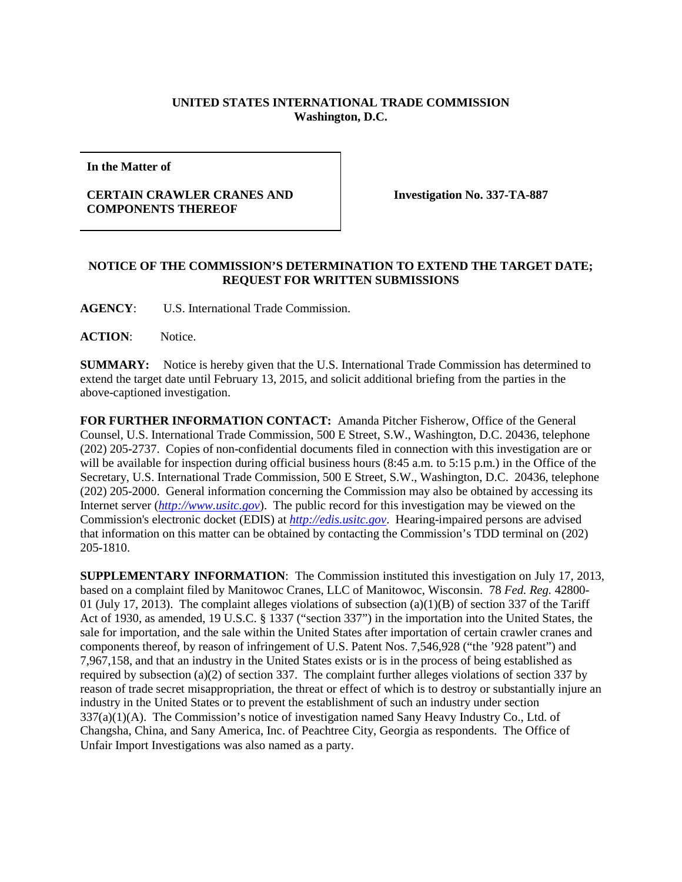## **UNITED STATES INTERNATIONAL TRADE COMMISSION Washington, D.C.**

**In the Matter of**

## **CERTAIN CRAWLER CRANES AND COMPONENTS THEREOF**

**Investigation No. 337-TA-887**

## **NOTICE OF THE COMMISSION'S DETERMINATION TO EXTEND THE TARGET DATE; REQUEST FOR WRITTEN SUBMISSIONS**

**AGENCY**: U.S. International Trade Commission.

**ACTION**: Notice.

**SUMMARY:** Notice is hereby given that the U.S. International Trade Commission has determined to extend the target date until February 13, 2015, and solicit additional briefing from the parties in the above-captioned investigation.

**FOR FURTHER INFORMATION CONTACT:** Amanda Pitcher Fisherow, Office of the General Counsel, U.S. International Trade Commission, 500 E Street, S.W., Washington, D.C. 20436, telephone (202) 205-2737. Copies of non-confidential documents filed in connection with this investigation are or will be available for inspection during official business hours (8:45 a.m. to 5:15 p.m.) in the Office of the Secretary, U.S. International Trade Commission, 500 E Street, S.W., Washington, D.C. 20436, telephone (202) 205-2000. General information concerning the Commission may also be obtained by accessing its Internet server (*[http://www.usitc.gov](http://www.usitc.gov/)*). The public record for this investigation may be viewed on the Commission's electronic docket (EDIS) at *[http://edis.usitc.gov](http://edis.usitc.gov/)*. Hearing-impaired persons are advised that information on this matter can be obtained by contacting the Commission's TDD terminal on (202) 205-1810.

**SUPPLEMENTARY INFORMATION**: The Commission instituted this investigation on July 17, 2013, based on a complaint filed by Manitowoc Cranes, LLC of Manitowoc, Wisconsin. 78 *Fed. Reg.* 42800- 01 (July 17, 2013). The complaint alleges violations of subsection  $(a)(1)(B)$  of section 337 of the Tariff Act of 1930, as amended, 19 U.S.C. § 1337 ("section 337") in the importation into the United States, the sale for importation, and the sale within the United States after importation of certain crawler cranes and components thereof, by reason of infringement of U.S. Patent Nos. 7,546,928 ("the '928 patent") and 7,967,158, and that an industry in the United States exists or is in the process of being established as required by subsection (a)(2) of section 337. The complaint further alleges violations of section 337 by reason of trade secret misappropriation, the threat or effect of which is to destroy or substantially injure an industry in the United States or to prevent the establishment of such an industry under section 337(a)(1)(A). The Commission's notice of investigation named Sany Heavy Industry Co., Ltd. of Changsha, China, and Sany America, Inc. of Peachtree City, Georgia as respondents. The Office of Unfair Import Investigations was also named as a party.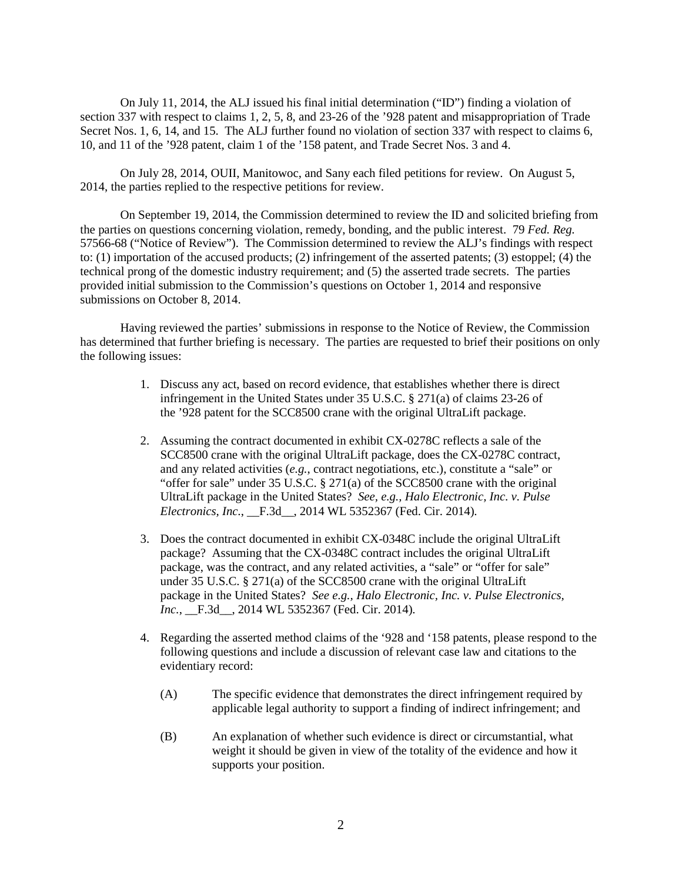On July 11, 2014, the ALJ issued his final initial determination ("ID") finding a violation of section 337 with respect to claims 1, 2, 5, 8, and 23-26 of the '928 patent and misappropriation of Trade Secret Nos. 1, 6, 14, and 15. The ALJ further found no violation of section 337 with respect to claims 6, 10, and 11 of the '928 patent, claim 1 of the '158 patent, and Trade Secret Nos. 3 and 4.

On July 28, 2014, OUII, Manitowoc, and Sany each filed petitions for review. On August 5, 2014, the parties replied to the respective petitions for review.

On September 19, 2014, the Commission determined to review the ID and solicited briefing from the parties on questions concerning violation, remedy, bonding, and the public interest. 79 *Fed. Reg.* 57566-68 ("Notice of Review"). The Commission determined to review the ALJ's findings with respect to: (1) importation of the accused products; (2) infringement of the asserted patents; (3) estoppel; (4) the technical prong of the domestic industry requirement; and (5) the asserted trade secrets. The parties provided initial submission to the Commission's questions on October 1, 2014 and responsive submissions on October 8, 2014.

Having reviewed the parties' submissions in response to the Notice of Review, the Commission has determined that further briefing is necessary. The parties are requested to brief their positions on only the following issues:

- 1. Discuss any act, based on record evidence, that establishes whether there is direct infringement in the United States under 35 U.S.C. § 271(a) of claims 23-26 of the '928 patent for the SCC8500 crane with the original UltraLift package.
- 2. Assuming the contract documented in exhibit CX-0278C reflects a sale of the SCC8500 crane with the original UltraLift package, does the CX-0278C contract, and any related activities (*e.g.*, contract negotiations, etc.), constitute a "sale" or "offer for sale" under 35 U.S.C. § 271(a) of the SCC8500 crane with the original UltraLift package in the United States? *See, e.g., Halo Electronic, Inc. v. Pulse Electronics, Inc.*, \_\_F.3d\_\_, 2014 WL 5352367 (Fed. Cir. 2014)*.*
- 3. Does the contract documented in exhibit CX-0348C include the original UltraLift package? Assuming that the CX-0348C contract includes the original UltraLift package, was the contract, and any related activities, a "sale" or "offer for sale" under 35 U.S.C. § 271(a) of the SCC8500 crane with the original UltraLift package in the United States? *See e.g., Halo Electronic, Inc. v. Pulse Electronics, Inc.*, \_\_F.3d\_\_, 2014 WL 5352367 (Fed. Cir. 2014)*.*
- 4. Regarding the asserted method claims of the '928 and '158 patents, please respond to the following questions and include a discussion of relevant case law and citations to the evidentiary record:
	- (A) The specific evidence that demonstrates the direct infringement required by applicable legal authority to support a finding of indirect infringement; and
	- (B) An explanation of whether such evidence is direct or circumstantial, what weight it should be given in view of the totality of the evidence and how it supports your position.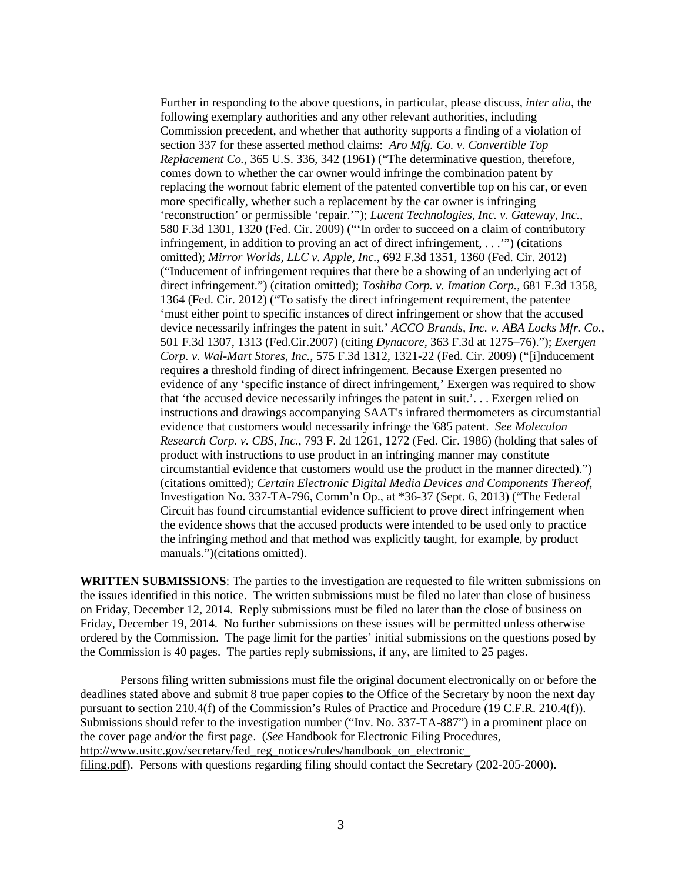Further in responding to the above questions, in particular, please discuss, *inter alia*, the following exemplary authorities and any other relevant authorities, including Commission precedent, and whether that authority supports a finding of a violation of section 337 for these asserted method claims: *Aro Mfg. Co. v. Convertible Top Replacement Co.*, 365 U.S. 336, 342 (1961) ("The determinative question, therefore, comes down to whether the car owner would infringe the combination patent by replacing the wornout fabric element of the patented convertible top on his car, or even more specifically, whether such a replacement by the car owner is infringing 'reconstruction' or permissible 'repair.'"); *Lucent Technologies, Inc. v. Gateway, Inc.*, 580 F.3d 1301, 1320 (Fed. Cir. 2009) ("'In order to succeed on a claim of contributory infringement, in addition to proving an act of direct infringement, . . .'") (citations omitted); *Mirror Worlds, LLC v. Apple, Inc.*, 692 F.3d 1351, 1360 (Fed. Cir. 2012) ("Inducement of infringement requires that there be a showing of an underlying act of direct infringement.") (citation omitted); *Toshiba Corp. v. Imation Corp.*, 681 F.3d 1358, 1364 (Fed. Cir. 2012) ("To satisfy the direct infringement requirement, the patentee 'must either point to specific instance**s** of direct infringement or show that the accused device necessarily infringes the patent in suit.' *ACCO Brands, Inc. v. ABA Locks Mfr. Co.*, 501 F.3d 1307, 1313 (Fed.Cir.2007) (citing *Dynacore*, 363 F.3d at 1275–76)."); *Exergen Corp. v. Wal-Mart Stores, Inc.*, 575 F.3d 1312, 1321-22 (Fed. Cir. 2009) ("[i]nducement requires a threshold finding of direct infringement. Because Exergen presented no evidence of any 'specific instance of direct infringement,' Exergen was required to show that 'the accused device necessarily infringes the patent in suit.'. . . Exergen relied on instructions and drawings accompanying SAAT's infrared thermometers as circumstantial evidence that customers would necessarily infringe the '685 patent. *See Moleculon Research Corp. v. CBS, Inc.*, 793 F. 2d 1261, 1272 (Fed. Cir. 1986) (holding that sales of product with instructions to use product in an infringing manner may constitute circumstantial evidence that customers would use the product in the manner directed).") (citations omitted); *Certain Electronic Digital Media Devices and Components Thereof*, Investigation No. 337-TA-796, Comm'n Op., at \*36-37 (Sept. 6, 2013) ("The Federal Circuit has found circumstantial evidence sufficient to prove direct infringement when the evidence shows that the accused products were intended to be used only to practice the infringing method and that method was explicitly taught, for example, by product manuals.")(citations omitted).

**WRITTEN SUBMISSIONS**: The parties to the investigation are requested to file written submissions on the issues identified in this notice. The written submissions must be filed no later than close of business on Friday, December 12, 2014. Reply submissions must be filed no later than the close of business on Friday, December 19, 2014. No further submissions on these issues will be permitted unless otherwise ordered by the Commission. The page limit for the parties' initial submissions on the questions posed by the Commission is 40 pages. The parties reply submissions, if any, are limited to 25 pages.

Persons filing written submissions must file the original document electronically on or before the deadlines stated above and submit 8 true paper copies to the Office of the Secretary by noon the next day pursuant to section 210.4(f) of the Commission's Rules of Practice and Procedure (19 C.F.R. 210.4(f)). Submissions should refer to the investigation number ("Inv. No. 337-TA-887") in a prominent place on the cover page and/or the first page. (*See* Handbook for Electronic Filing Procedures, http://www.usitc.gov/secretary/fed\_reg\_notices/rules/handbook\_on\_electronic\_ filing.pdf). Persons with questions regarding filing should contact the Secretary (202-205-2000).